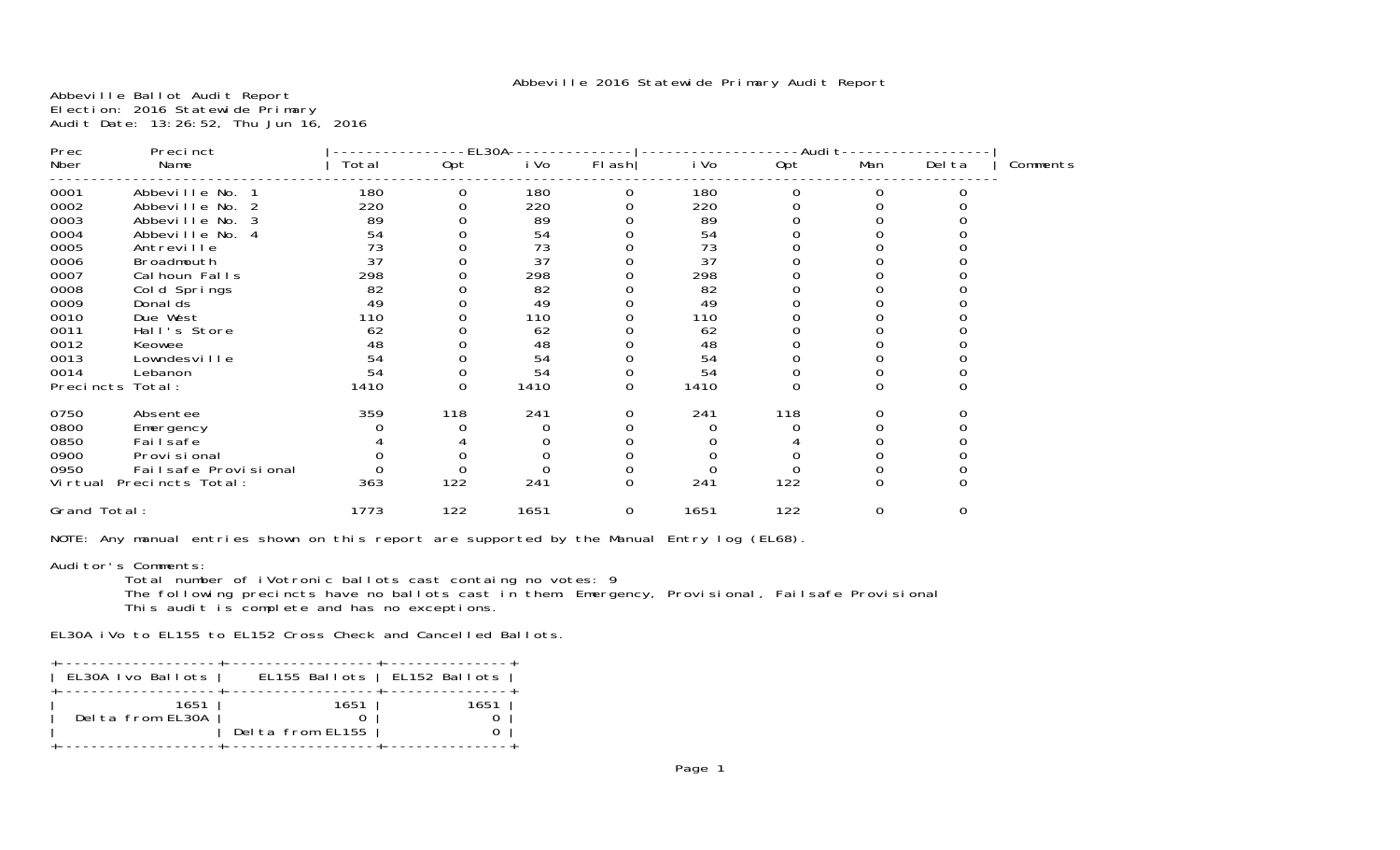Abbeville Ballot Audit Report Election: 2016 Statewide Primary Audit Date: 13:26:52, Thu Jun 16, 2016

| Prec<br>Precinct |                      |       | EL30A |      |          |      | -Audi t  |          |        |          |  |
|------------------|----------------------|-------|-------|------|----------|------|----------|----------|--------|----------|--|
| Nber             | Name                 | Total | Opt   | i Vo | $FI$ ash | i Vo | Opt      | Man      | Del ta | Comments |  |
| 0001             | Abbeville No.        | 180   | 0     | 180  | 0        | 180  |          | 0        |        |          |  |
| 0002             | Abbeville No.        | 220   |       | 220  |          | 220  |          |          |        |          |  |
| 0003             | Abbeville No. 3      | 89    |       | 89   |          | 89   |          |          |        |          |  |
| 0004             | Abbeville No.<br>-4  | 54    |       | 54   |          | 54   |          |          |        |          |  |
| 0005             | Antreville           | 73    |       | 73   |          | 73   |          |          |        |          |  |
| 0006             | Broadmouth           | 37    |       | 37   |          | 37   |          |          |        |          |  |
| 0007             | Cal houn Falls       | 298   |       | 298  |          | 298  |          |          |        |          |  |
| 0008             | Cold Springs         | 82    |       | 82   |          | 82   |          |          |        |          |  |
| 0009             | Donal ds             | 49    |       | 49   |          | 49   |          |          |        |          |  |
| 0010             | Due West             | 110   |       | 110  |          | 110  |          |          |        |          |  |
| 0011             | Hall's Store         | 62    |       | 62   |          | 62   |          |          |        |          |  |
| 0012             | Keowee               | 48    |       | 48   |          | 48   |          |          |        |          |  |
| 0013             | Lowndesville         | 54    |       | 54   |          | 54   |          |          |        |          |  |
| 0014             | Lebanon              | 54    |       | 54   |          | 54   |          |          |        |          |  |
| Precincts        | Total:               | 1410  | 0     | 1410 | O        | 1410 | $\Omega$ | 0        |        |          |  |
| 0750             | Absentee             | 359   | 118   | 241  |          | 241  | 118      |          | 0      |          |  |
| 0800             | Emergency            |       |       |      |          |      |          |          |        |          |  |
| 0850             | Fai I safe           |       |       |      |          |      |          |          |        |          |  |
| 0900             | Provi si onal        |       |       |      |          |      |          |          |        |          |  |
| 0950             | Failsafe Provisional |       |       |      |          |      |          |          |        |          |  |
| Vi rtual         | Precincts Total:     | 363   | 122   | 241  | $\Omega$ | 241  | 122      | $\Omega$ |        |          |  |
| Grand Total:     |                      | 1773  | 122   | 1651 | 0        | 1651 | 122      | 0        | 0      |          |  |

NOTE: Any manual entries shown on this report are supported by the Manual Entry log (EL68).

Auditor's Comments:

 Total number of iVotronic ballots cast containg no votes: 9 The following precincts have no ballots cast in them: Emergency, Provisional, Failsafe Provisional This audit is complete and has no exceptions.

EL30A iVo to EL155 to EL152 Cross Check and Cancelled Ballots.

| EL30A Ivo Ballots        | EL155 Ballots   EL152 Ballots |      |
|--------------------------|-------------------------------|------|
| 1651<br>Delta from FL30A | 1651<br>Delta from EL155      | 1651 |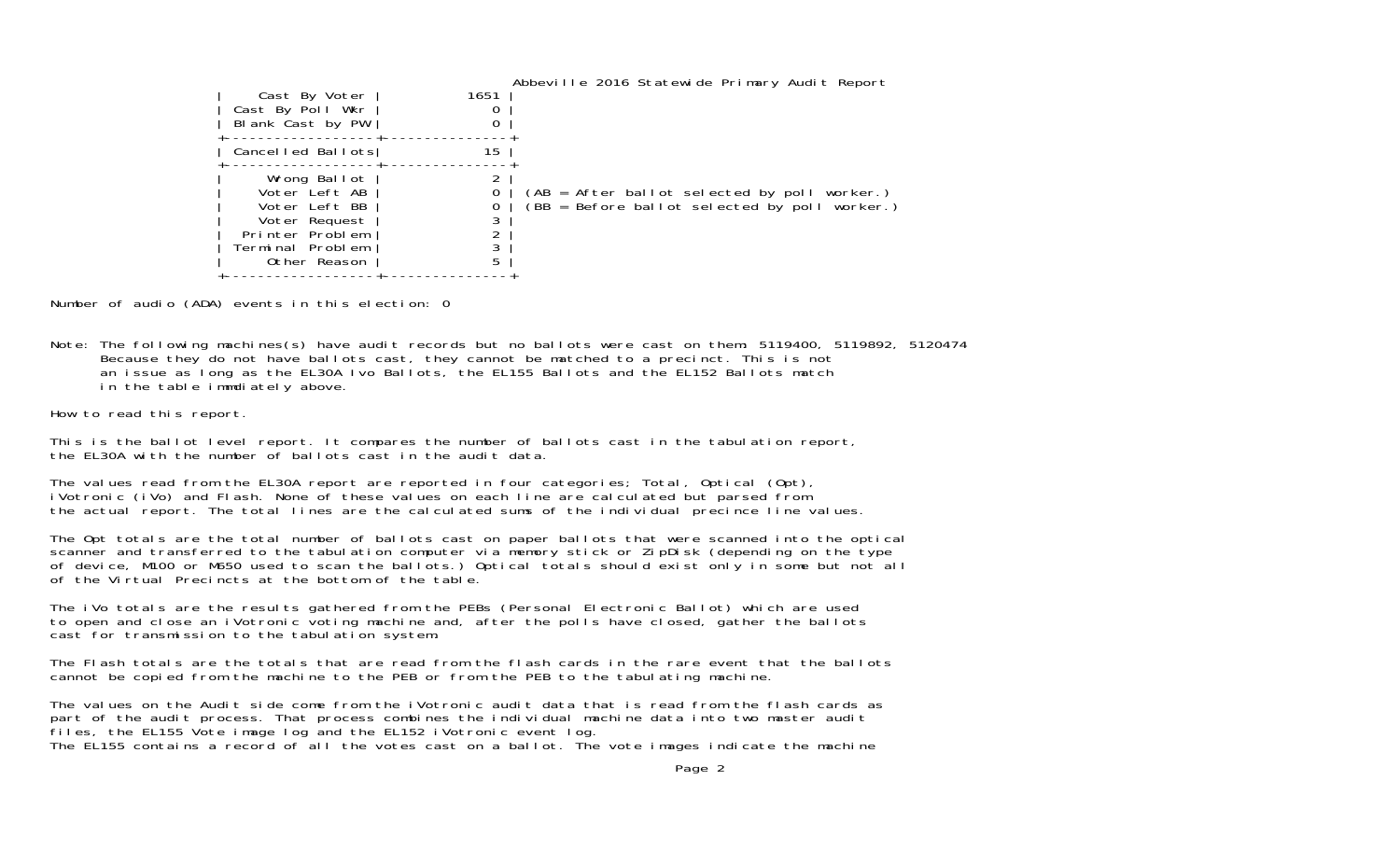| Cast By Voter<br>Cast By Poll Wkr<br>Blank Cast by PW                                                                  | 1651<br>0<br>0 | Abbeville 2016 Statewide Primary Audit Report                                                 |
|------------------------------------------------------------------------------------------------------------------------|----------------|-----------------------------------------------------------------------------------------------|
| Cancelled Ballots                                                                                                      | 15             |                                                                                               |
| Wrong Ballot<br>Voter Left AB<br>Voter Left BB<br>Voter Request<br>Printer Problem<br>Terminal Problem<br>Other Reason | 0<br>5         | (AB = After ballot selected by poll worker.)<br>(BB = Before ballot selected by poll worker.) |

Number of audio (ADA) events in this election: 0

Note: The following machines(s) have audit records but no ballots were cast on them: 5119400, 5119892, 5120474 Because they do not have ballots cast, they cannot be matched to a precinct. This is not an issue as long as the EL30A Ivo Ballots, the EL155 Ballots and the EL152 Ballots match in the table immdiately above.

How to read this report.

This is the ballot level report. It compares the number of ballots cast in the tabulation report, the EL30A with the number of ballots cast in the audit data.

The values read from the EL30A report are reported in four categories; Total, Optical (Opt), iVotronic (iVo) and Flash. None of these values on each line are calculated but parsed from the actual report. The total lines are the calculated sums of the individual precince line values.

The Opt totals are the total number of ballots cast on paper ballots that were scanned into the optical scanner and transferred to the tabulation computer via memory stick or ZipDisk (depending on the type of device, M100 or M650 used to scan the ballots.) Optical totals should exist only in some but not all of the Virtual Precincts at the bottom of the table.

The iVo totals are the results gathered from the PEBs (Personal Electronic Ballot) which are used to open and close an iVotronic voting machine and, after the polls have closed, gather the ballots cast for transmission to the tabulation system.

The Flash totals are the totals that are read from the flash cards in the rare event that the ballotscannot be copied from the machine to the PEB or from the PEB to the tabulating machine.

The values on the Audit side come from the iVotronic audit data that is read from the flash cards as part of the audit process. That process combines the individual machine data into two master audit files, the EL155 Vote image log and the EL152 iVotronic event log. The EL155 contains a record of all the votes cast on a ballot. The vote images indicate the machine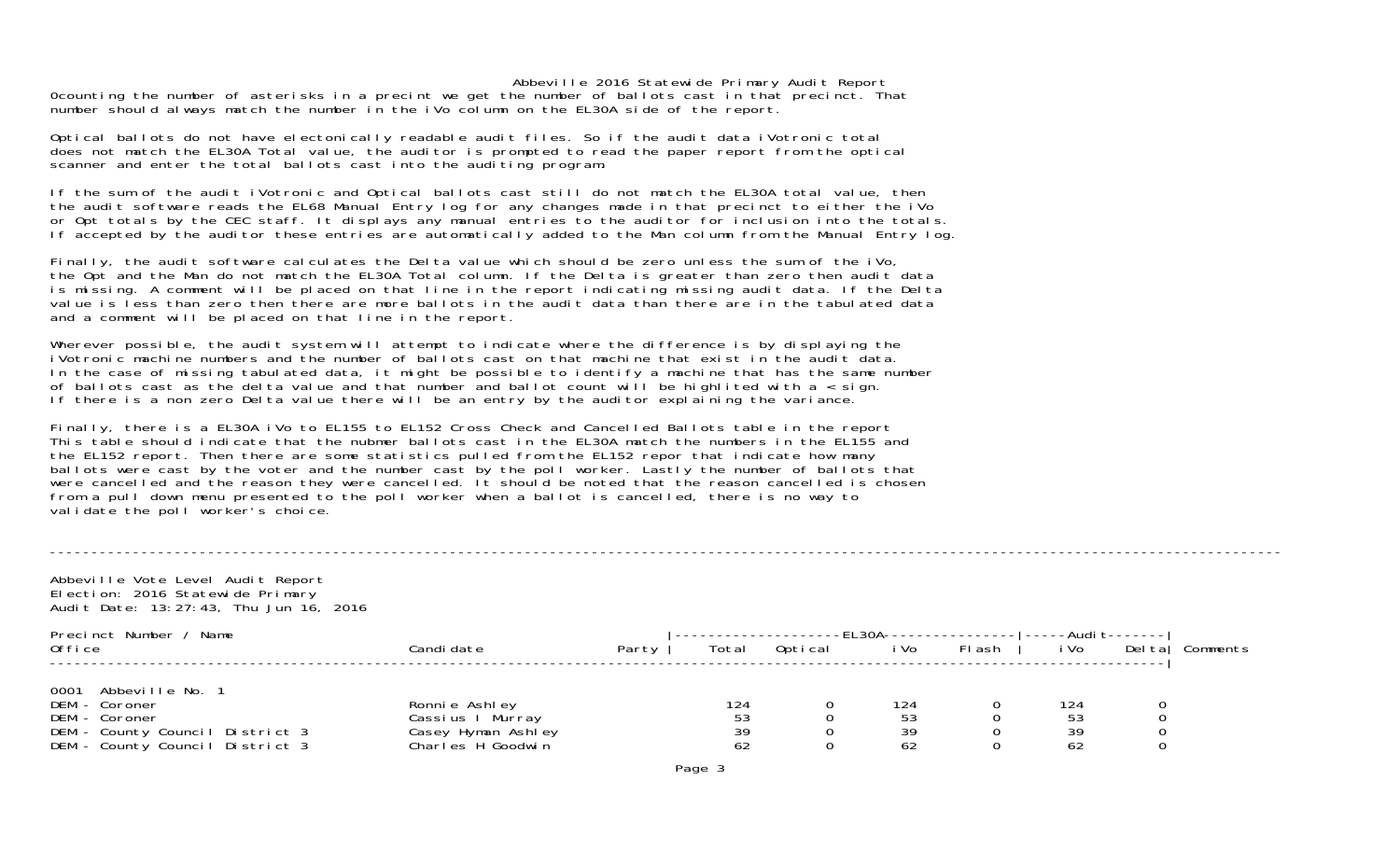0counting the number of asterisks in a precint we get the number of ballots cast in that precinct. That number should always match the number in the iVo column on the EL30A side of the report.

Optical ballots do not have electonically readable audit files. So if the audit data iVotronic total does not match the EL30A Total value, the auditor is prompted to read the paper report from the optical scanner and enter the total ballots cast into the auditing program.

If the sum of the audit iVotronic and Optical ballots cast still do not match the EL30A total value, then the audit software reads the EL68 Manual Entry log for any changes made in that precinct to either the iVo or Opt totals by the CEC staff. It displays any manual entries to the auditor for inclusion into the totals. If accepted by the auditor these entries are automatically added to the Man column from the Manual Entry log.

Finally, the audit software calculates the Delta value which should be zero unless the sum of the iVo, the Opt and the Man do not match the EL30A Total column. If the Delta is greater than zero then audit data is missing. A comment will be placed on that line in the report indicating missing audit data. If the Delta value is less than zero then there are more ballots in the audit data than there are in the tabulated data and a comment will be placed on that line in the report.

Wherever possible, the audit system will attempt to indicate where the difference is by displaying the iVotronic machine numbers and the number of ballots cast on that machine that exist in the audit data. In the case of missing tabulated data, it might be possible to identify a machine that has the same number of ballots cast as the delta value and that number and ballot count will be highlited with  $a <$  sign. If there is a non zero Delta value there will be an entry by the auditor explaining the variance.

Finally, there is a EL30A iVo to EL155 to EL152 Cross Check and Cancelled Ballots table in the report This table should indicate that the nubmer ballots cast in the EL30A match the numbers in the EL155 and the EL152 report. Then there are some statistics pulled from the EL152 repor that indicate how many ballots were cast by the voter and the number cast by the poll worker. Lastly the number of ballots that were cancelled and the reason they were cancelled. It should be noted that the reason cancelled is chosen from a pull down menu presented to the poll worker when a ballot is cancelled, there is no way to validate the poll worker's choice.

| Abbeville Vote Level Audit Report<br>Election: 2016 Statewide Primary<br>Audit Date: 13:27:43, Thu Jun 16, 2016              |                                                                              |       |                       |         |                       |               |                       |                          |          |
|------------------------------------------------------------------------------------------------------------------------------|------------------------------------------------------------------------------|-------|-----------------------|---------|-----------------------|---------------|-----------------------|--------------------------|----------|
| Precinct Number / Name<br>0ffice                                                                                             | Candi date                                                                   | Party | Total                 | Optical | -EL30A---<br>i Vo     | <b>FI</b> ash | i Vo                  | -Audi t-------<br>Deltal | Comments |
| 0001 Abbeville No. 1<br>DEM - Coroner<br>DEM - Coroner<br>DEM - County Council District 3<br>DEM - County Council District 3 | Ronnie Ashley<br>Cassius I Murray<br>Casey Hyman Ashley<br>Charles H Goodwin |       | 124<br>53<br>39<br>62 |         | 124<br>53<br>39<br>62 |               | 124<br>53<br>39<br>62 |                          |          |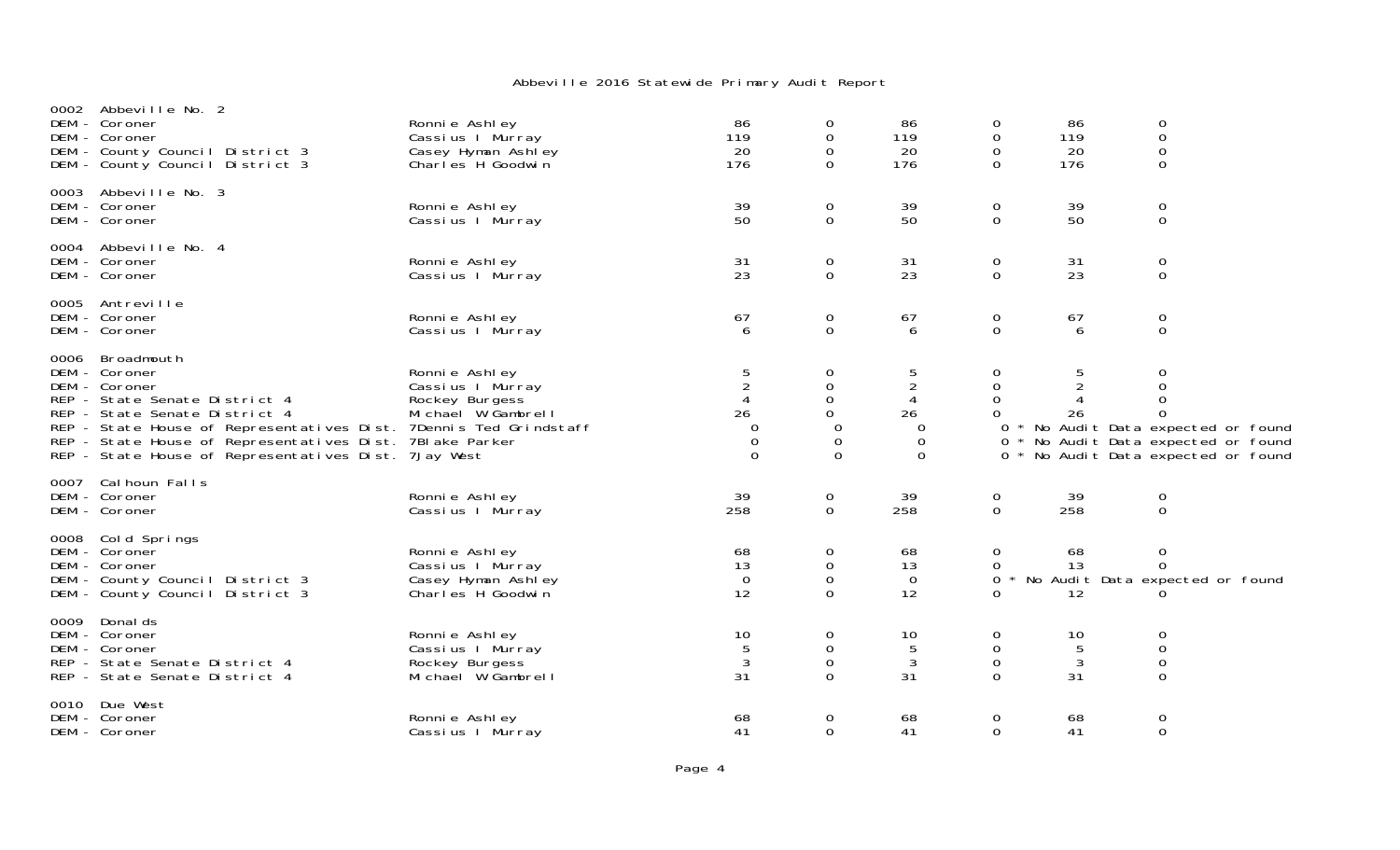|      | 0002 Abbeville No. 2<br>DEM - Coroner<br>DEM - Coroner<br>DEM - County Council District 3<br>DEM - County Council District 3                                                                                                                                                                             | Ronnie Ashley<br>Cassius I Murray<br>Casey Hyman Ashley<br>Charles H Goodwin | 86<br>119<br>20<br>176                                                   | 0<br>0<br>0<br>$\Omega$                                            | 86<br>119<br>20<br>176                               | 0<br>0<br>0<br>$\Omega$           | 86<br>119<br>20<br>176 | 0<br>$\mathbf 0$<br>$\mathbf 0$<br>0                                                                                                                 |
|------|----------------------------------------------------------------------------------------------------------------------------------------------------------------------------------------------------------------------------------------------------------------------------------------------------------|------------------------------------------------------------------------------|--------------------------------------------------------------------------|--------------------------------------------------------------------|------------------------------------------------------|-----------------------------------|------------------------|------------------------------------------------------------------------------------------------------------------------------------------------------|
|      | 0003 Abbeville No. 3<br>DEM - Coroner<br>DEM - Coroner                                                                                                                                                                                                                                                   | Ronnie Ashley<br>Cassius I Murray                                            | 39<br>50                                                                 | 0<br>$\mathbf 0$                                                   | 39<br>50                                             | 0<br>0                            | 39<br>50               | 0<br>0                                                                                                                                               |
|      | 0004 Abbeville No. 4<br>DEM - Coroner<br>DEM - Coroner                                                                                                                                                                                                                                                   | Ronnie Ashley<br>Cassius I Murray                                            | 31<br>23                                                                 | 0<br>0                                                             | 31<br>23                                             | 0<br>0                            | 31<br>23               | 0<br>0                                                                                                                                               |
|      | 0005 Antreville<br>DEM - Coroner<br>DEM - Coroner                                                                                                                                                                                                                                                        | Ronnie Ashley<br>Cassius I Murray                                            | 67<br>6                                                                  | 0<br>$\mathsf{O}$                                                  | 67<br>6                                              | 0<br>$\overline{0}$               | 67<br>6                | 0<br>$\mathbf 0$                                                                                                                                     |
| 0006 | Broadmouth<br>DEM - Coroner<br>DEM - Coroner<br>REP - State Senate District 4<br>REP - State Senate District 4<br>REP - State House of Representatives Dist. 7Dennis Ted Grindstaff<br>REP - State House of Representatives Dist. 7BI ake Parker<br>REP - State House of Representatives Dist. 7Jay West | Ronnie Ashley<br>Cassius I Murray<br>Rockey Burgess<br>Michael W Gambrell    | $\frac{5}{2}$<br>$\overline{4}$<br>26<br>0<br>$\mathbf 0$<br>$\mathbf 0$ | 0<br>$\mathsf 0$<br>$\mathsf{O}$<br>$\Omega$<br>$\Omega$<br>0<br>0 | 5<br>$\overline{2}$<br>4<br>26<br>0<br>0<br>$\Omega$ | 0<br>0<br>0<br>0                  | 26                     | 0<br>$\boldsymbol{0}$<br>0<br>0<br>0 * No Audit Data expected or found<br>0 * No Audit Data expected or found<br>0 * No Audit Data expected or found |
|      | 0007 Cal houn Falls<br>DEM - Coroner<br>DEM - Coroner                                                                                                                                                                                                                                                    | Ronnie Ashley<br>Cassius I Murray                                            | 39<br>258                                                                | 0<br>$\mathbf 0$                                                   | 39<br>258                                            | 0<br>$\overline{0}$               | 39<br>258              | 0<br>$\mathbf 0$                                                                                                                                     |
|      | 0008 Cold Springs<br>DEM - Coroner<br>DEM - Coroner<br>DEM - County Council District 3<br>DEM - County Council District 3                                                                                                                                                                                | Ronnie Ashley<br>Cassius I Murray<br>Casey Hyman Ashley<br>Charles H Goodwin | 68<br>13<br>$\overline{0}$<br>12                                         | 0<br>0<br>$\mathbf 0$<br>$\Omega$                                  | 68<br>13<br>$\overline{O}$<br>12                     | 0<br>0<br>0<br>0                  | 68<br>13<br>12         | 0<br>$\Omega$<br>No Audit Data expected or found<br>0                                                                                                |
|      | 0009 Donal ds<br>DEM - Coroner<br>DEM - Coroner<br>REP - State Senate District 4<br>REP - State Senate District 4                                                                                                                                                                                        | Ronni e Ashl ey<br>Cassius I Murray<br>Rockey Burgess<br>Michael W Gambrell  | 10<br>5<br>3<br>31                                                       | 0<br>$\mathbf 0$<br>0<br>$\Omega$                                  | 10<br>5<br>3<br>31                                   | 0<br>$\mathbf 0$<br>0<br>$\Omega$ | 10<br>5<br>3<br>31     | 0<br>$\mathbf 0$<br>$\mathbf 0$<br>$\Omega$                                                                                                          |
|      | 0010 Due West<br>DEM - Coroner<br>DEM - Coroner                                                                                                                                                                                                                                                          | Ronnie Ashley<br>Cassius I Murray                                            | 68<br>41                                                                 | 0<br>0                                                             | 68<br>41                                             | 0<br>$\Omega$                     | 68<br>41               | 0<br>$\mathbf 0$                                                                                                                                     |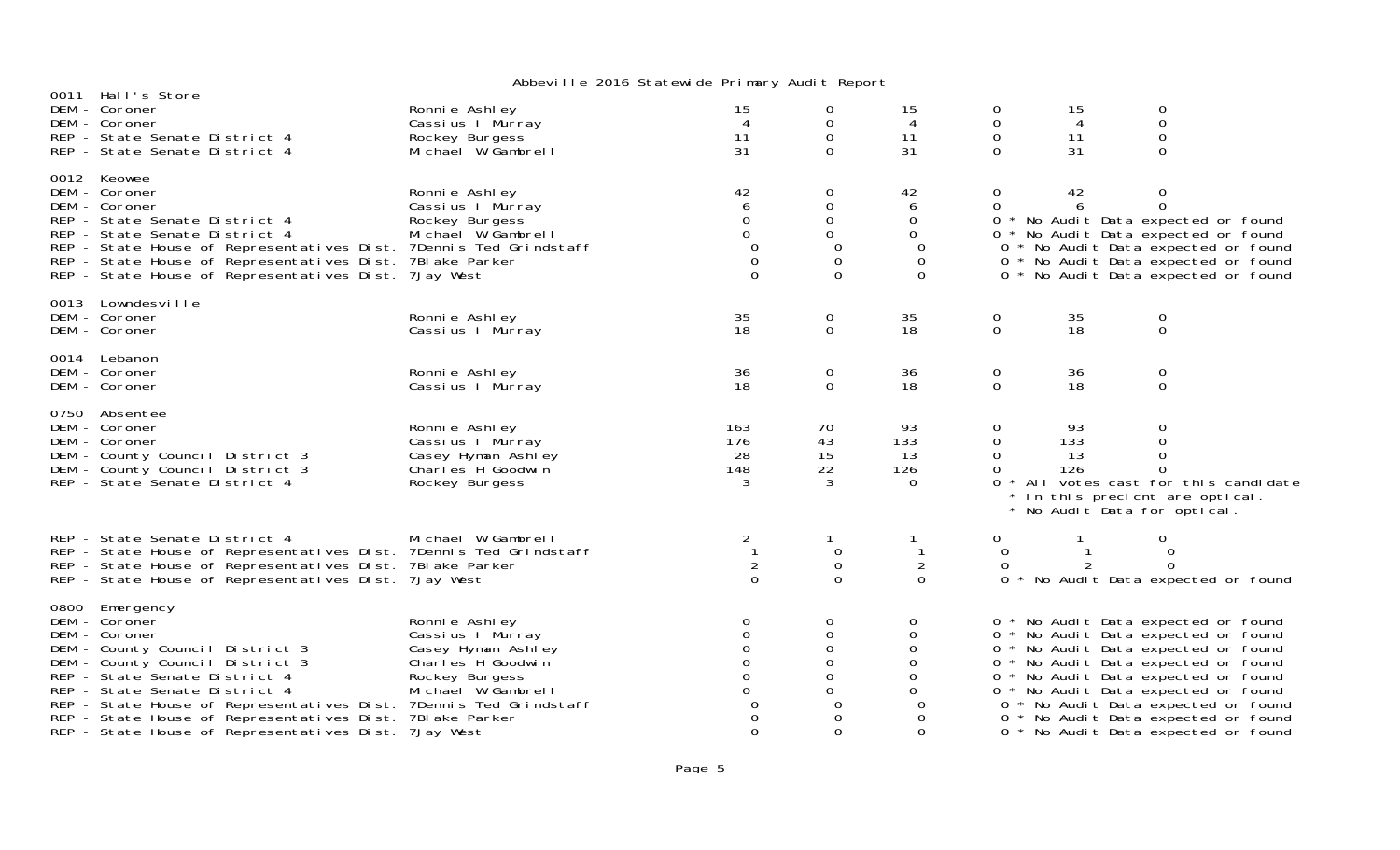| 0011 Hall's Store                                                                                                                                                                                                                                                                                                                                                                   |                                                                                                                      | $\frac{1}{2}$                                                                                                          |                                                                                                   |                                                                                              |                                                                       |                        |                                                                                                      |                                                                                                                                                                                                                                                                               |
|-------------------------------------------------------------------------------------------------------------------------------------------------------------------------------------------------------------------------------------------------------------------------------------------------------------------------------------------------------------------------------------|----------------------------------------------------------------------------------------------------------------------|------------------------------------------------------------------------------------------------------------------------|---------------------------------------------------------------------------------------------------|----------------------------------------------------------------------------------------------|-----------------------------------------------------------------------|------------------------|------------------------------------------------------------------------------------------------------|-------------------------------------------------------------------------------------------------------------------------------------------------------------------------------------------------------------------------------------------------------------------------------|
| DEM - Coroner<br>DEM - Coroner<br>REP - State Senate District 4<br>REP - State Senate District 4                                                                                                                                                                                                                                                                                    | Ronnie Ashley<br>Cassius I Murray<br>Rockey Burgess<br>Michael W Gambrell                                            | 15<br>$\overline{4}$<br>11<br>31                                                                                       | 0<br>$\mathbf 0$<br>$\mathsf O$<br>$\Omega$                                                       | 15<br>4<br>11<br>31                                                                          | $\mathbf 0$<br>$\mathbf 0$<br>$\mathsf O$<br>$\Omega$                 | 15<br>4<br>11<br>31    | $\boldsymbol{0}$<br>$\mathsf O$<br>$\mbox{O}$<br>$\Omega$                                            |                                                                                                                                                                                                                                                                               |
| 0012 Keowee<br>DEM - Coroner<br>DEM - Coroner<br>REP - State Senate District 4<br>REP - State Senate District 4<br>REP - State House of Representatives Dist. 7Dennis Ted Grindstaff<br>REP - State House of Representatives Dist. 7Blake Parker<br>REP - State House of Representatives Dist. 7Jay West                                                                            | Ronnie Ashley<br>Cassius I Murray<br>Rockey Burgess<br>Michael W Gambrell                                            | $\begin{array}{c} 42 \\ 6 \end{array}$<br>$\mathbf 0$<br>$\mathbf 0$<br>$\Omega$<br>$\mathbf 0$<br>$\Omega$            | $\mathbf 0$<br>$\mathsf{O}\xspace$<br>0<br>$\mathbf{O}$<br>$\mathbf 0$<br>$\mathbf 0$<br>$\Omega$ | 42<br>6<br>$\mathbf{O}$<br>$\mathbf 0$<br>$\Omega$<br>$\mathbf 0$<br>$\Omega$                | 0<br>$\mathbf 0$                                                      | 42                     | $\boldsymbol{0}$<br>$\mathbf 0$                                                                      | 0 * No Audit Data expected or found<br>0 * No Audit Data expected or found<br>0 * No Audit Data expected or found<br>0 * No Audit Data expected or found<br>0 * No Audit Data expected or found                                                                               |
| 0013 Lowndesville<br>DEM - Coroner<br>DEM - Coroner                                                                                                                                                                                                                                                                                                                                 | Ronnie Ashley<br>Cassius I Murray                                                                                    | 35<br>18                                                                                                               | $\mathbf 0$<br>$\mathbf 0$                                                                        | 35<br>18                                                                                     | $\mathbf 0$<br>$\overline{0}$                                         | 35<br>18               | $_{\rm 0}^{\rm 0}$                                                                                   |                                                                                                                                                                                                                                                                               |
| 0014 Lebanon<br>DEM - Coroner<br>DEM - Coroner                                                                                                                                                                                                                                                                                                                                      | Ronnie Ashley<br>Cassius I Murray                                                                                    | 36<br>18                                                                                                               | $\mathbf 0$<br>$\mathbf 0$                                                                        | 36<br>18                                                                                     | $\mathbf 0$<br>$\mathbf 0$                                            | 36<br>18               | $_{\rm 0}^{\rm 0}$                                                                                   |                                                                                                                                                                                                                                                                               |
| 0750 Absentee<br>DEM - Coroner<br>DEM - Coroner<br>DEM - County Council District 3<br>DEM - County Council District 3<br>REP - State Senate District 4                                                                                                                                                                                                                              | Ronnie Ashley<br>Cassius I Murray<br>Casey Hyman Ashley<br>Charles H Goodwin<br>Rockey Burgess                       | 163<br>176<br>28<br>148<br>3                                                                                           | 70<br>43<br>15<br>22<br>3                                                                         | 93<br>133<br>13<br>126<br>$\Omega$                                                           | $\mathbf{0}$<br>$\mathbf 0$<br>$\overline{0}$<br>$\Omega$<br>$\Omega$ | 93<br>133<br>13<br>126 | 0<br>0<br>$\mathbf 0$<br>$\Omega$<br>* in this precient are optical.<br>* No Audit Data for optical. | * All votes cast for this candidate                                                                                                                                                                                                                                           |
| REP - State Senate District 4<br>REP - State House of Representatives Dist. 7Dennis Ted Grindstaff<br>REP - State House of Representatives Dist. 7Blake Parker<br>REP - State House of Representatives Dist. 7 Jay West                                                                                                                                                             | Michael W Gambrell                                                                                                   | $\overline{2}$<br>$\overline{1}$<br>$\overline{2}$<br>$\Omega$                                                         | $\mathbf{1}$<br>$\mathbf 0$<br>$\mathsf O$<br>$\mathbf 0$                                         | $\mathbf{1}$<br>$\overline{2}$<br>$\overline{0}$                                             | 0<br>$\mathbf 0$<br>$\mathbf 0$                                       | 2<br>$0 *$             | $\mathbf 0$<br>$\mathbf 0$<br>$\Omega$                                                               | No Audit Data expected or found                                                                                                                                                                                                                                               |
| 0800 Emergency<br>DEM - Coroner<br>DEM - Coroner<br>DEM - County Council District 3<br>DEM - County Council District 3<br>REP - State Senate District 4<br>REP - State Senate District 4<br>REP - State House of Representatives Dist. 7Dennis Ted Grindstaff<br>REP - State House of Representatives Dist. 7BI ake Parker<br>REP - State House of Representatives Dist. 7 Jay West | Ronnie Ashley<br>Cassius I Murray<br>Casey Hyman Ashley<br>Charles H Goodwin<br>Rockey Burgess<br>Michael W Gambrell | $\mathbf 0$<br>$\mathsf O$<br>$\mathbf 0$<br>$\mathbf 0$<br>$\mathbf 0$<br>$\overline{0}$<br>$\Omega$<br>0<br>$\Omega$ | 0<br>$\mathbf 0$<br>0<br>$\boldsymbol{0}$<br>$\mathbf 0$<br>$\mathbf{O}$<br>0<br>0<br>$\Omega$    | 0<br>0<br>$\mathbf 0$<br>$\mathbf 0$<br>$\mathbf 0$<br>$\Omega$<br>$\Omega$<br>0<br>$\Omega$ |                                                                       |                        | 0 * No Audit Data expected or found<br>0 * No Audit Data expected or found                           | 0 * No Audit Data expected or found<br>0 * No Audit Data expected or found<br>0 * No Audit Data expected or found<br>0 * No Audit Data expected or found<br>0 * No Audit Data expected or found<br>0 * No Audit Data expected or found<br>0 * No Audit Data expected or found |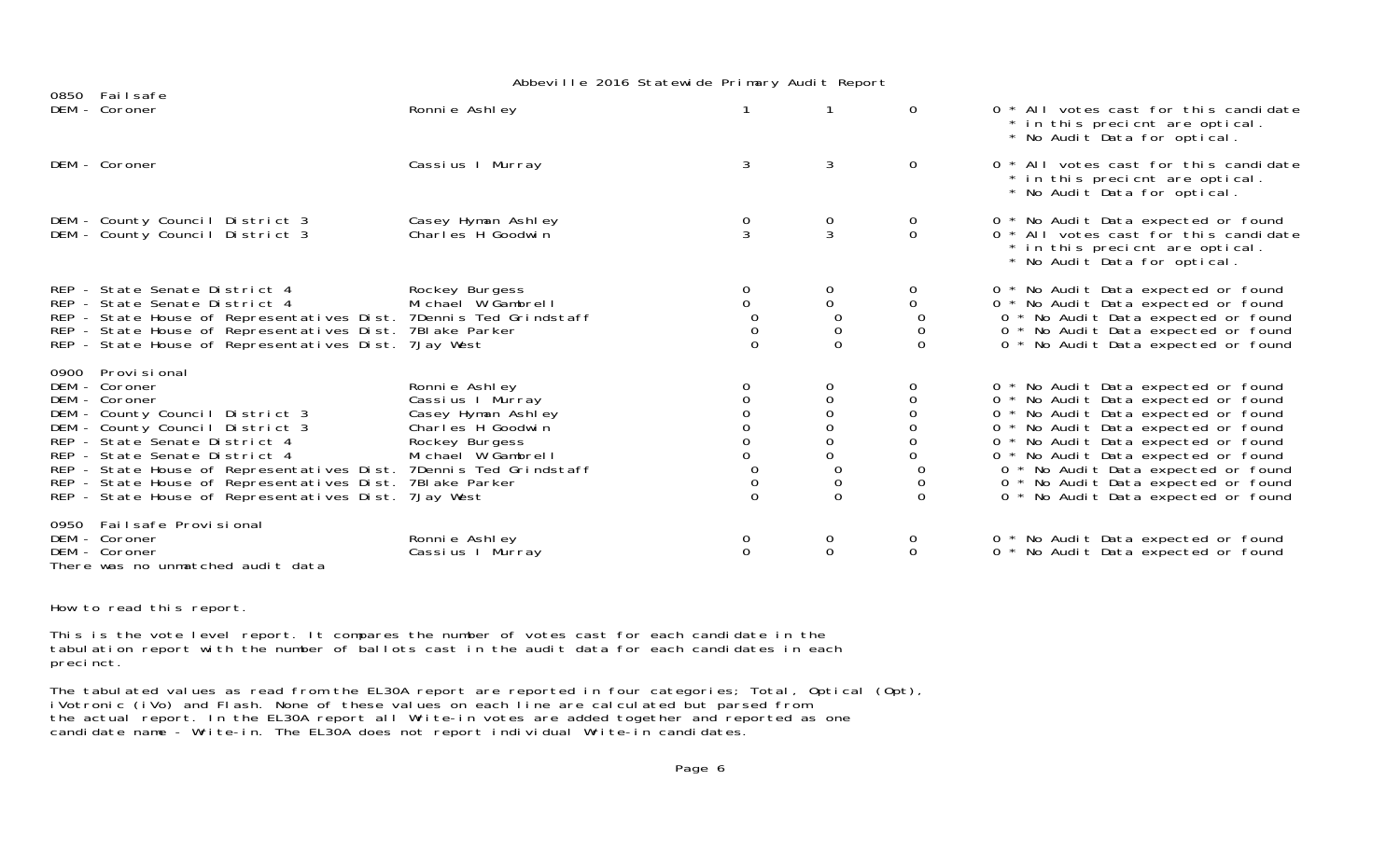|                                                                                                                                                                                                                                                                                                                                                                                        |                                                                                                                      | NOOTHING LOTO OLD LOTTED TIMES THE ROLL ROPORT                      |                                               |                               |                                                                                                                                                                                                                                                                                                                                                             |
|----------------------------------------------------------------------------------------------------------------------------------------------------------------------------------------------------------------------------------------------------------------------------------------------------------------------------------------------------------------------------------------|----------------------------------------------------------------------------------------------------------------------|---------------------------------------------------------------------|-----------------------------------------------|-------------------------------|-------------------------------------------------------------------------------------------------------------------------------------------------------------------------------------------------------------------------------------------------------------------------------------------------------------------------------------------------------------|
| 0850 Failsafe<br>DEM - Coroner                                                                                                                                                                                                                                                                                                                                                         | Ronnie Ashley                                                                                                        |                                                                     |                                               | $\mathbf{O}$                  | $0 * All$ votes cast for this candidate<br>* in this precient are optical.<br>* No Audit Data for optical.                                                                                                                                                                                                                                                  |
| DEM - Coroner                                                                                                                                                                                                                                                                                                                                                                          | Cassius I Murray                                                                                                     | 3                                                                   | 3                                             | $\mathbf{O}$                  | 0 * All votes cast for this candidate<br>* in this precient are optical.<br>* No Audit Data for optical.                                                                                                                                                                                                                                                    |
| DEM - County Council District 3<br>DEM - County Council District 3                                                                                                                                                                                                                                                                                                                     | Casey Hyman Ashley<br>Charles H Goodwin                                                                              | $\frac{0}{3}$                                                       | 0<br>3                                        | $\overline{0}$<br>$\mathbf 0$ | 0 * No Audit Data expected or found<br>0 * All votes cast for this candidate<br>* in this precient are optical.<br>* No Audit Data for optical.                                                                                                                                                                                                             |
| REP - State Senate District 4<br>REP - State Senate District 4<br>REP - State House of Representatives Dist. 7Dennis Ted Grindstaff<br>REP - State House of Representatives Dist. 7Blake Parker<br>REP - State House of Representatives Dist. 7 Jay West                                                                                                                               | Rockey Burgess<br>Michael W Gambrell                                                                                 | 0<br>$\Omega$<br>$\mathbf 0$<br>$\Omega$                            | 0<br>0<br>0<br>0<br>$\Omega$                  | 0<br>0<br>0<br>0<br>$\Omega$  | 0 * No Audit Data expected or found<br>0 * No Audit Data expected or found<br>0 * No Audit Data expected or found<br>0 * No Audit Data expected or found<br>0 * No Audit Data expected or found                                                                                                                                                             |
| 0900 Provi si onal<br>DEM - Coroner<br>DEM - Coroner<br>DEM - County Council District 3<br>DEM - County Council District 3<br>REP - State Senate District 4<br>REP - State Senate District 4<br>REP - State House of Representatives Dist. 7Dennis Ted Grindstaff<br>REP - State House of Representatives Dist. 7Blake Parker<br>REP - State House of Representatives Dist. 7 Jay West | Ronnie Ashley<br>Cassius I Murray<br>Casey Hyman Ashley<br>Charles H Goodwin<br>Rockey Burgess<br>Michael W Gambrell | $\mathbf 0$<br>$\overline{O}$<br>0<br>$\mathbf 0$<br>$\overline{0}$ | 0<br>0<br>0<br>$\Omega$<br>0<br>0<br>$\Omega$ | 0<br>0<br>0<br>$\Omega$       | 0 * No Audit Data expected or found<br>0 * No Audit Data expected or found<br>0 * No Audit Data expected or found<br>0 * No Audit Data expected or found<br>0 * No Audit Data expected or found<br>0 * No Audit Data expected or found<br>0 * No Audit Data expected or found<br>0 * No Audit Data expected or found<br>0 * No Audit Data expected or found |
| 0950 Failsafe Provisional<br>DEM - Coroner<br>DEM - Coroner<br>There was no unmatched audit data                                                                                                                                                                                                                                                                                       | Ronnie Ashley<br>Cassius I Murray                                                                                    | 0<br>$\Omega$                                                       | 0<br>$\Omega$                                 | 0<br>$\overline{0}$           | 0 * No Audit Data expected or found<br>$0^*$<br>No Audit Data expected or found                                                                                                                                                                                                                                                                             |

How to read this report.

This is the vote level report. It compares the number of votes cast for each candidate in the tabulation report with the number of ballots cast in the audit data for each candidates in each precinct.

The tabulated values as read from the EL30A report are reported in four categories; Total, Optical (Opt), iVotronic (iVo) and Flash. None of these values on each line are calculated but parsed from the actual report. In the EL30A report all Write-in votes are added together and reported as one candidate name - Write-in. The EL30A does not report individual Write-in candidates.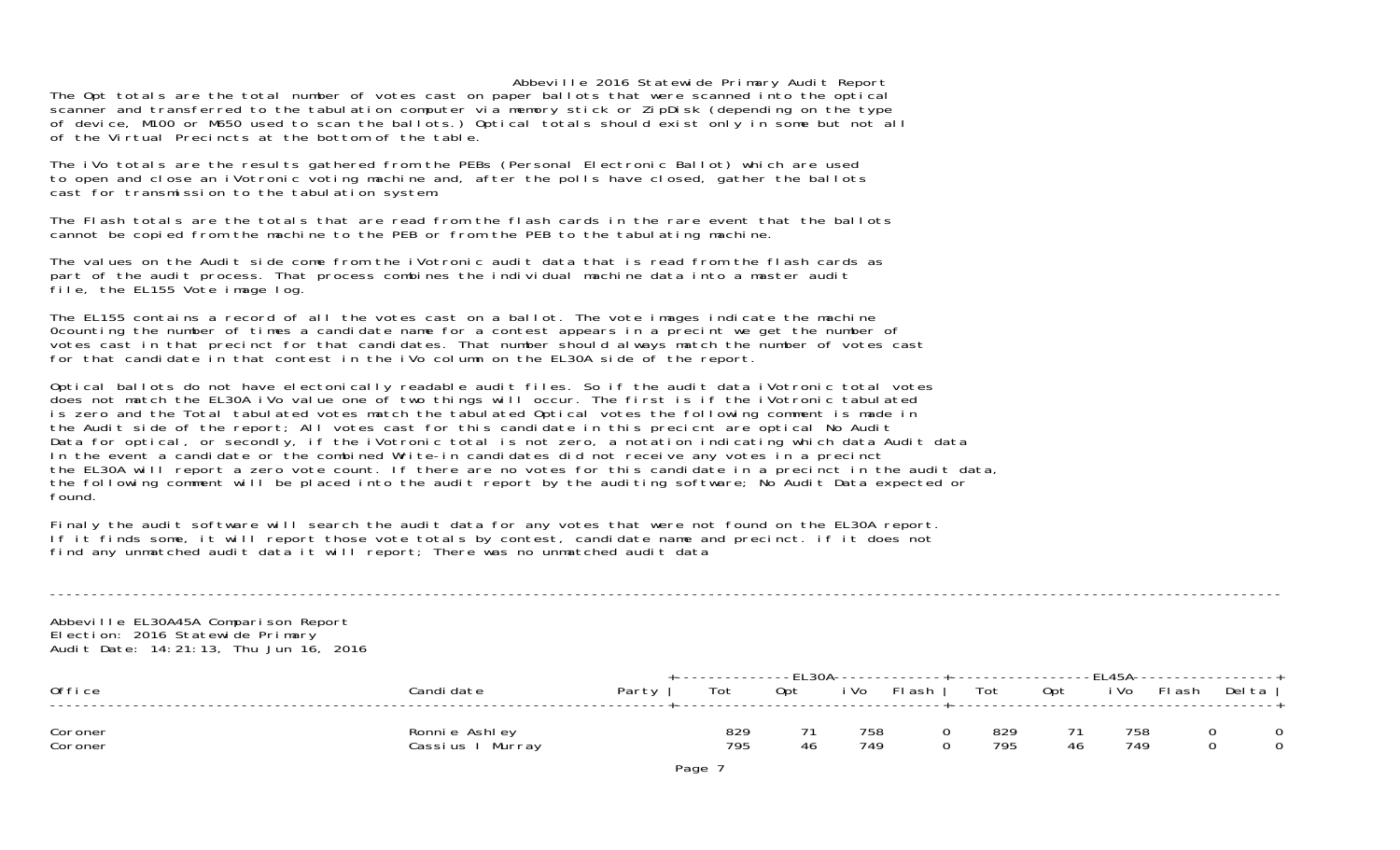The Opt totals are the total number of votes cast on paper ballots that were scanned into the optical scanner and transferred to the tabulation computer via memory stick or ZipDisk (depending on the type of device, M100 or M650 used to scan the ballots.) Optical totals should exist only in some but not all of the Virtual Precincts at the bottom of the table.

The iVo totals are the results gathered from the PEBs (Personal Electronic Ballot) which are used to open and close an iVotronic voting machine and, after the polls have closed, gather the ballots cast for transmission to the tabulation system.

The Flash totals are the totals that are read from the flash cards in the rare event that the ballotscannot be copied from the machine to the PEB or from the PEB to the tabulating machine.

The values on the Audit side come from the iVotronic audit data that is read from the flash cards as part of the audit process. That process combines the individual machine data into a master audit file, the EL155 Vote image log.

The EL155 contains a record of all the votes cast on a ballot. The vote images indicate the machine 0counting the number of times a candidate name for a contest appears in a precint we get the number of votes cast in that precinct for that candidates. That number should always match the number of votes cast for that candidate in that contest in the iVo column on the EL30A side of the report.

Optical ballots do not have electonically readable audit files. So if the audit data iVotronic total votes does not match the EL30A iVo value one of two things will occur. The first is if the iVotronic tabulated is zero and the Total tabulated votes match the tabulated Optical votes the following comment is made in the Audit side of the report; All votes cast for this candidate in this precicnt are optical No Audit Data for optical, or secondly, if the iVotronic total is not zero, a notation indicating which data Audit data In the event a candidate or the combined Write-in candidates did not receive any votes in a precinct the EL30A will report a zero vote count. If there are no votes for this candidate in a precinct in the audit data, the following comment will be placed into the audit report by the auditing software; No Audit Data expected or found.

Finaly the audit software will search the audit data for any votes that were not found on the EL30A report. If it finds some, it will report those vote totals by contest, candidate name and precinct. if it does not find any unmatched audit data it will report; There was no unmatched audit data

Abbeville EL30A45A Comparison Report Election: 2016 Statewide Primary Audit Date: 14:21:13, Thu Jun 16, 2016

| Office             | Candi date                            | Party | Tot        | <b>FI 201</b><br>Opt | i Vo       | <sup>-</sup> । ash | Tot        | 0pt | 1 4 5 A<br>i Vo | 디 ash | Del ta |
|--------------------|---------------------------------------|-------|------------|----------------------|------------|--------------------|------------|-----|-----------------|-------|--------|
| Coroner<br>Coroner | Ronnie Ashley<br>Murray<br>Cassi us I |       | 829<br>795 |                      | 758<br>749 |                    | 829<br>795 | 46  | 758<br>749      |       | 0      |

----------------------------------------------------------------------------------------------------------------------------------------------------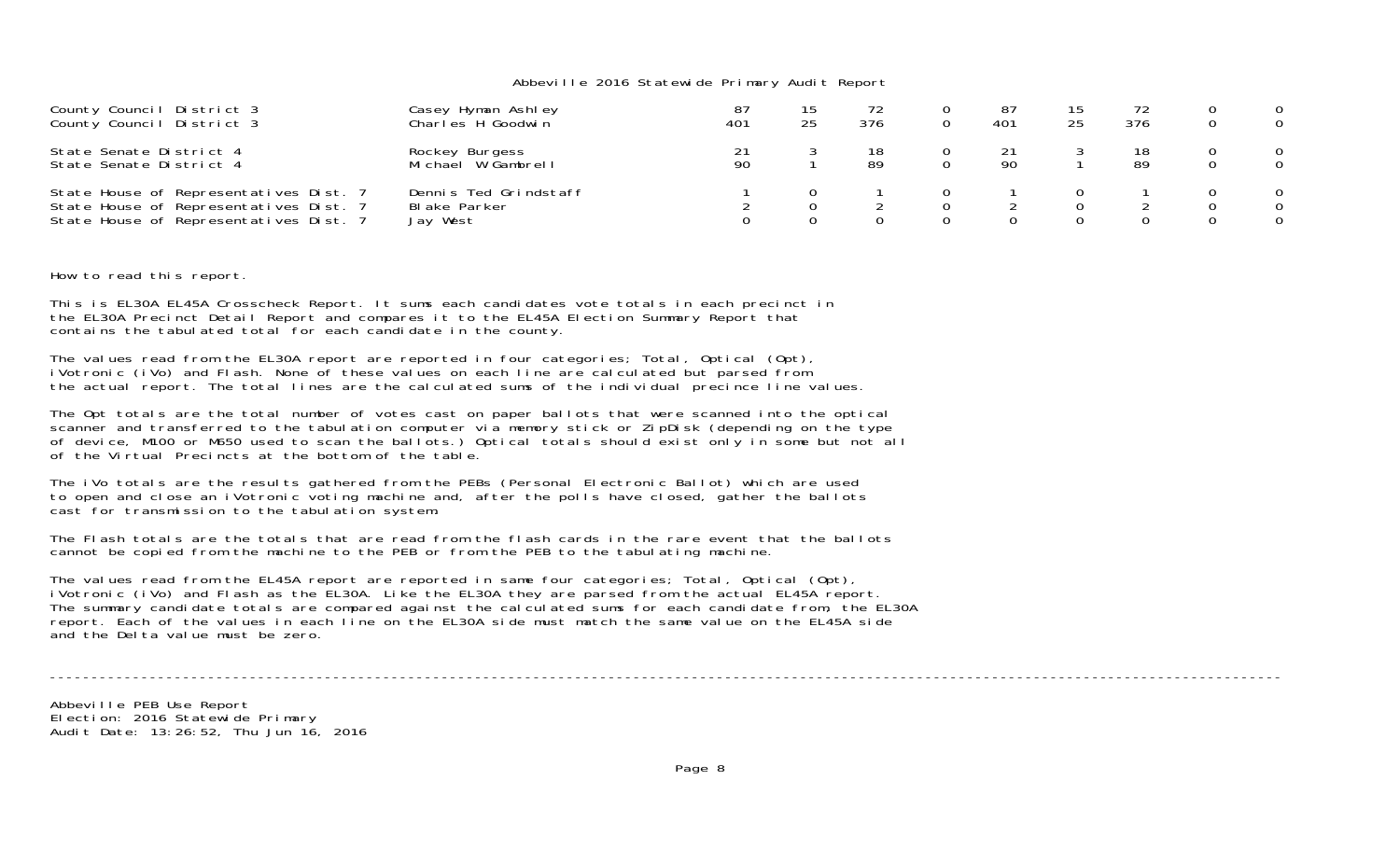| County Council District 3<br>County Council District 3                                                                     | Casey Hyman Ashley<br>Charles H Goodwin           | 401 | 25 | 376 | 87<br>401 | 25 | 376 | $\Omega$      |
|----------------------------------------------------------------------------------------------------------------------------|---------------------------------------------------|-----|----|-----|-----------|----|-----|---------------|
| State Senate District 4<br>State Senate District 4                                                                         | Rockey Burgess<br>Michael W Gambrell              | 90  |    | 89  | 90        |    | -89 | $\Omega$<br>0 |
| State House of Representatives Dist. 7<br>State House of Representatives Dist. 7<br>State House of Representatives Dist. 7 | Dennis Ted Grindstaff<br>Blake Parker<br>Jay West |     |    |     |           |    |     | $\Omega$      |

How to read this report.

This is EL30A EL45A Crosscheck Report. It sums each candidates vote totals in each precinct in the EL30A Precinct Detail Report and compares it to the EL45A Election Summary Report that contains the tabulated total for each candidate in the county.

The values read from the EL30A report are reported in four categories; Total, Optical (Opt), iVotronic (iVo) and Flash. None of these values on each line are calculated but parsed from the actual report. The total lines are the calculated sums of the individual precince line values.

The Opt totals are the total number of votes cast on paper ballots that were scanned into the optical scanner and transferred to the tabulation computer via memory stick or ZipDisk (depending on the type of device, M100 or M650 used to scan the ballots.) Optical totals should exist only in some but not all of the Virtual Precincts at the bottom of the table.

The iVo totals are the results gathered from the PEBs (Personal Electronic Ballot) which are used to open and close an iVotronic voting machine and, after the polls have closed, gather the ballots cast for transmission to the tabulation system.

The Flash totals are the totals that are read from the flash cards in the rare event that the ballots cannot be copied from the machine to the PEB or from the PEB to the tabulating machine.

The values read from the EL45A report are reported in same four categories; Total, Optical (Opt), iVotronic (iVo) and Flash as the EL30A. Like the EL30A they are parsed from the actual EL45A report. The summary candidate totals are compared against the calculated sums for each candidate from, the EL30A report. Each of the values in each line on the EL30A side must match the same value on the EL45A side and the Delta value must be zero.

----------------------------------------------------------------------------------------------------------------------------------------------------

Abbeville PEB Use Report Election: 2016 Statewide Primary Audit Date: 13:26:52, Thu Jun 16, 2016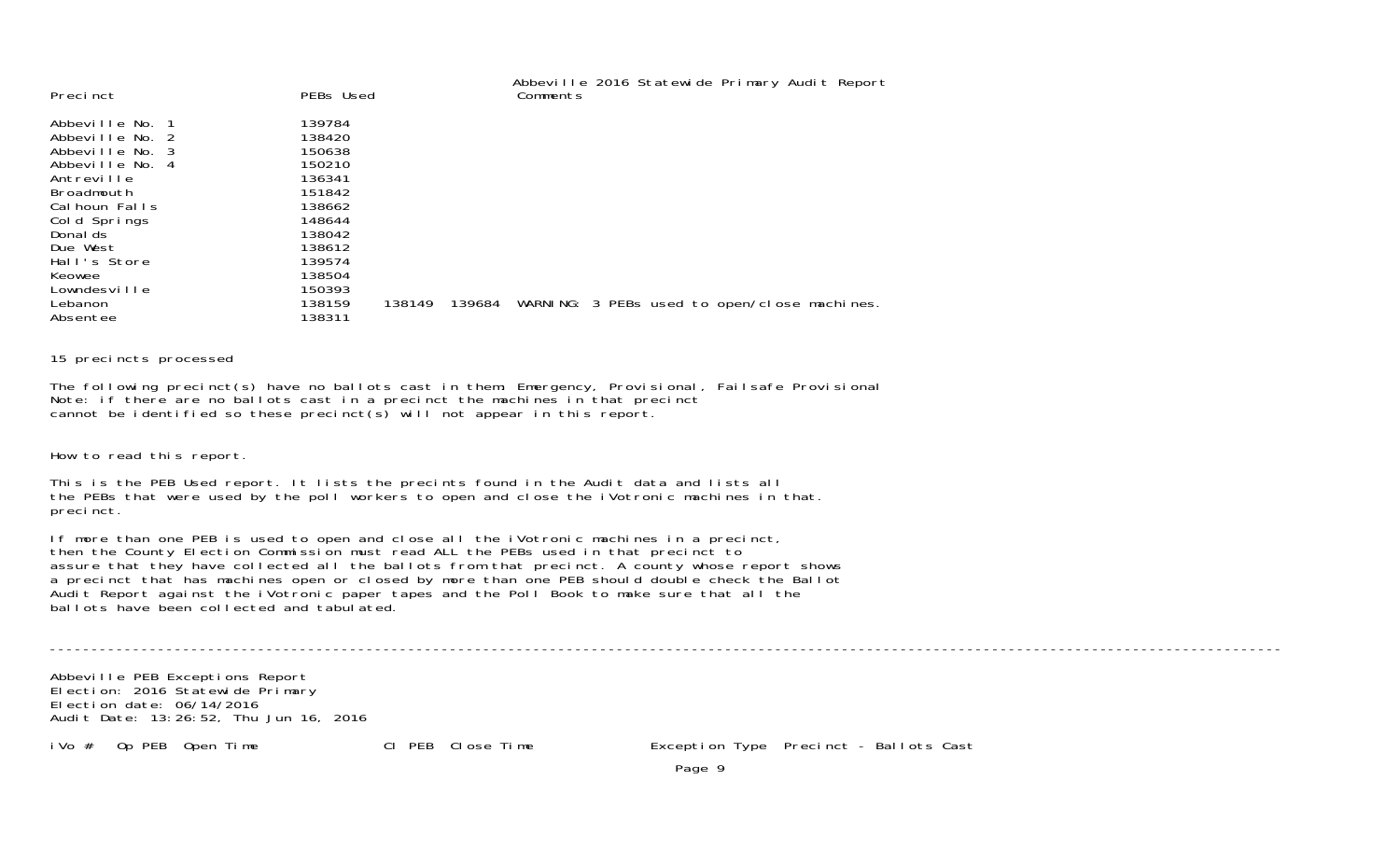| 139784<br>Abbeville No. 1<br>138420<br>Abbeville No. 2<br>150638<br>Abbeville No. 3<br>150210<br>Abbeville No. 4<br>136341<br>Antreville<br>151842<br>Broadmouth<br>138662<br>Cal houn Falls<br>148644<br>Cold Springs<br>138042<br>Donal ds<br>138612<br>Due West<br>139574<br>Hall's Store<br>138504<br>Keowee | Precinct     | PEBs Used | Abbeville 2016 Statewide Primary Audit Report<br>Comments |
|------------------------------------------------------------------------------------------------------------------------------------------------------------------------------------------------------------------------------------------------------------------------------------------------------------------|--------------|-----------|-----------------------------------------------------------|
| WARNING: 3 PEBs used to open/close machines.<br>138159<br>139684<br>Lebanon<br>138149<br>138311<br>Absentee                                                                                                                                                                                                      | Lowndesville | 150393    |                                                           |

15 precincts processed

The following precinct(s) have no ballots cast in them: Emergency, Provisional, Failsafe Provisional Note: if there are no ballots cast in a precinct the machines in that precinct cannot be identified so these precinct(s) will not appear in this report.

How to read this report.

This is the PEB Used report. It lists the precints found in the Audit data and lists all the PEBs that were used by the poll workers to open and close the iVotronic machines in that. precinct.

If more than one PEB is used to open and close all the iVotronic machines in a precinct, then the County Election Commission must read ALL the PEBs used in that precinct to assure that they have collected all the ballots from that precinct. A county whose report shows a precinct that has machines open or closed by more than one PEB should double check the Ballot Audit Report against the iVotronic paper tapes and the Poll Book to make sure that all the ballots have been collected and tabulated.

----------------------------------------------------------------------------------------------------------------------------------------------------

Abbeville PEB Exceptions Report Election: 2016 Statewide Primary Election date: 06/14/2016Audit Date: 13:26:52, Thu Jun 16, 2016

iVo # Op PEB Open Time Cl PEB Close Time Exception Type Precinct - Ballots Cast